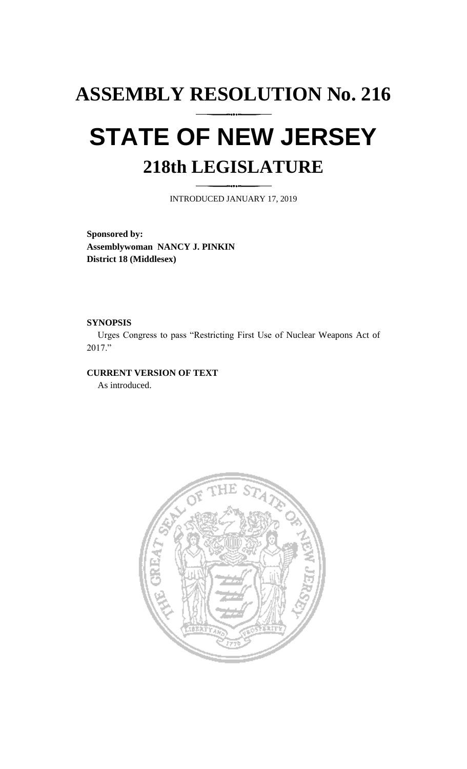# **ASSEMBLY RESOLUTION No. 216 STATE OF NEW JERSEY 218th LEGISLATURE**

INTRODUCED JANUARY 17, 2019

**Sponsored by: Assemblywoman NANCY J. PINKIN District 18 (Middlesex)**

### **SYNOPSIS**

Urges Congress to pass "Restricting First Use of Nuclear Weapons Act of 2017."

## **CURRENT VERSION OF TEXT**

As introduced.

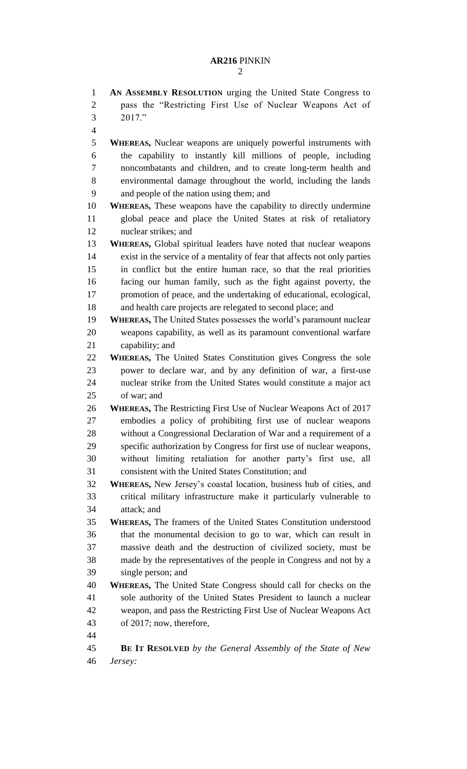**AN ASSEMBLY RESOLUTION** urging the United State Congress to pass the "Restricting First Use of Nuclear Weapons Act of 2017." **WHEREAS,** Nuclear weapons are uniquely powerful instruments with the capability to instantly kill millions of people, including noncombatants and children, and to create long-term health and environmental damage throughout the world, including the lands and people of the nation using them; and **WHEREAS,** These weapons have the capability to directly undermine global peace and place the United States at risk of retaliatory nuclear strikes; and **WHEREAS,** Global spiritual leaders have noted that nuclear weapons exist in the service of a mentality of fear that affects not only parties in conflict but the entire human race, so that the real priorities facing our human family, such as the fight against poverty, the promotion of peace, and the undertaking of educational, ecological, 18 and health care projects are relegated to second place; and **WHEREAS,** The United States possesses the world's paramount nuclear weapons capability, as well as its paramount conventional warfare capability; and **WHEREAS,** The United States Constitution gives Congress the sole power to declare war, and by any definition of war, a first-use nuclear strike from the United States would constitute a major act of war; and **WHEREAS,** The Restricting First Use of Nuclear Weapons Act of 2017 embodies a policy of prohibiting first use of nuclear weapons without a Congressional Declaration of War and a requirement of a specific authorization by Congress for first use of nuclear weapons, without limiting retaliation for another party's first use, all consistent with the United States Constitution; and **WHEREAS,** New Jersey's coastal location, business hub of cities, and critical military infrastructure make it particularly vulnerable to attack; and **WHEREAS,** The framers of the United States Constitution understood that the monumental decision to go to war, which can result in massive death and the destruction of civilized society, must be made by the representatives of the people in Congress and not by a single person; and **WHEREAS,** The United State Congress should call for checks on the sole authority of the United States President to launch a nuclear weapon, and pass the Restricting First Use of Nuclear Weapons Act of 2017; now, therefore, **BE IT RESOLVED** *by the General Assembly of the State of New Jersey:*